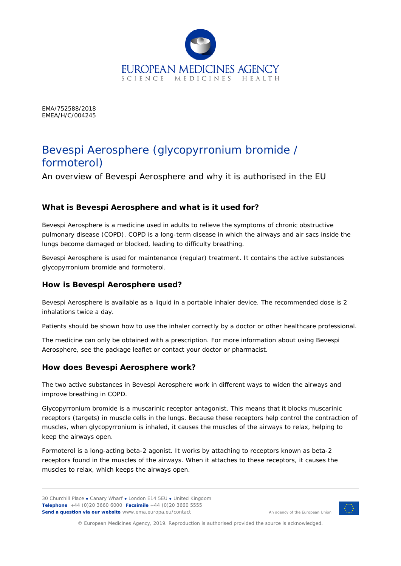

EMA/752588/2018 EMEA/H/C/004245

# Bevespi Aerosphere (*glycopyrronium bromide / formoterol*)

An overview of Bevespi Aerosphere and why it is authorised in the EU

## **What is Bevespi Aerosphere and what is it used for?**

Bevespi Aerosphere is a medicine used in adults to relieve the symptoms of chronic obstructive pulmonary disease (COPD). COPD is a long-term disease in which the airways and air sacs inside the lungs become damaged or blocked, leading to difficulty breathing.

Bevespi Aerosphere is used for maintenance (regular) treatment. It contains the active substances glycopyrronium bromide and formoterol.

## **How is Bevespi Aerosphere used?**

Bevespi Aerosphere is available as a liquid in a portable inhaler device. The recommended dose is 2 inhalations twice a day.

Patients should be shown how to use the inhaler correctly by a doctor or other healthcare professional.

The medicine can only be obtained with a prescription. For more information about using Bevespi Aerosphere, see the package leaflet or contact your doctor or pharmacist.

## **How does Bevespi Aerosphere work?**

The two active substances in Bevespi Aerosphere work in different ways to widen the airways and improve breathing in COPD.

Glycopyrronium bromide is a muscarinic receptor antagonist. This means that it blocks muscarinic receptors (targets) in muscle cells in the lungs. Because these receptors help control the contraction of muscles, when glycopyrronium is inhaled, it causes the muscles of the airways to relax, helping to keep the airways open.

Formoterol is a long-acting beta-2 agonist. It works by attaching to receptors known as beta-2 receptors found in the muscles of the airways. When it attaches to these receptors, it causes the muscles to relax, which keeps the airways open.



An agency of the European Union

© European Medicines Agency, 2019. Reproduction is authorised provided the source is acknowledged.

<sup>30</sup> Churchill Place **●** Canary Wharf **●** London E14 5EU **●** United Kingdom **Telephone** +44 (0)20 3660 6000 **Facsimile** +44 (0)20 3660 5555 **Send a question via our website** www.ema.europa.eu/contact